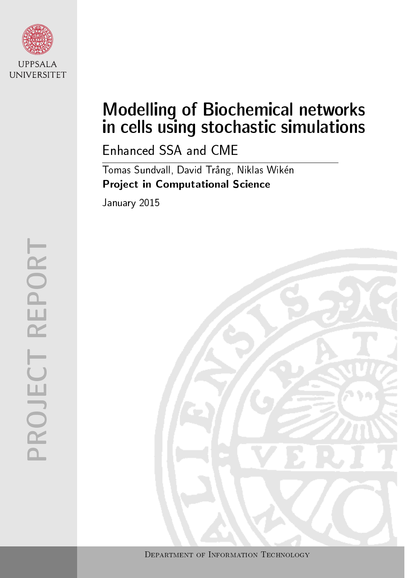

# Modelling of Biochemical networks in cells using stochastic simulations

Enhanced SSA and CME

Tomas Sundvall, David Trång, Niklas Wikén Project in Computational Science

January 2015

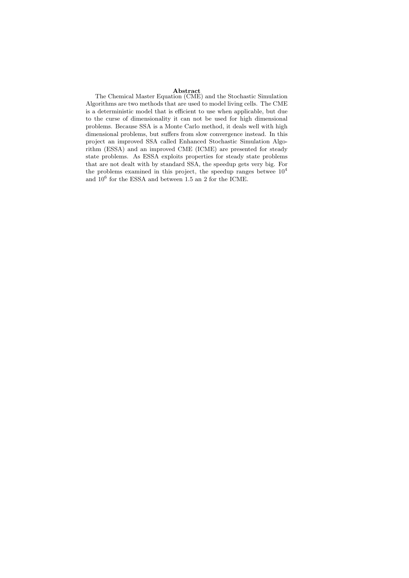**Abstract**<br>The Chemical Master Equation (CME) and the Stochastic Simulation Algorithms are two methods that are used to model living cells. The CME is a deterministic model that is efficient to use when applicable, but due to the curse of dimensionality it can not be used for high dimensional problems. Because SSA is a Monte Carlo method, it deals well with high dimensional problems, but suffers from slow convergence instead. In this project an improved SSA called Enhanced Stochastic Simulation Algorithm (ESSA) and an improved CME (ICME) are presented for steady state problems. As ESSA exploits properties for steady state problems that are not dealt with by standard SSA, the speedup gets very big. For the problems examined in this project, the speedup ranges betwee  $10<sup>4</sup>$ and  $10^6$  for the ESSA and between 1.5 an 2 for the ICME.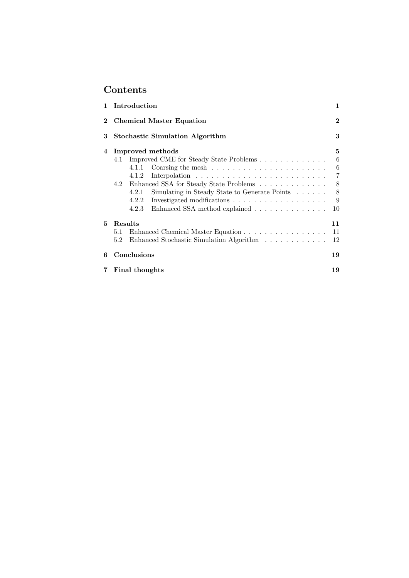# Contents

| 1        | Introduction                                           | 1        |
|----------|--------------------------------------------------------|----------|
| $\bf{2}$ | <b>Chemical Master Equation</b>                        | $\bf{2}$ |
| 3        | <b>Stochastic Simulation Algorithm</b>                 | 3        |
| 4        | Improved methods                                       | 5        |
|          | Improved CME for Steady State Problems<br>4.1          | 6        |
|          | 4.1.1                                                  | 6        |
|          | 4.1.2                                                  | 7        |
|          | 4.2                                                    | 8        |
|          | Simulating in Steady State to Generate Points<br>4.2.1 | 8        |
|          | 4.2.2                                                  | 9        |
|          | Enhanced SSA method explained<br>4.2.3                 | 10       |
| 5        | Results                                                | 11       |
|          | Enhanced Chemical Master Equation<br>$5.1\,$           | 11       |
|          | Enhanced Stochastic Simulation Algorithm<br>5.2        | 12       |
| 6        | Conclusions                                            | 19       |
|          | Final thoughts<br>19                                   |          |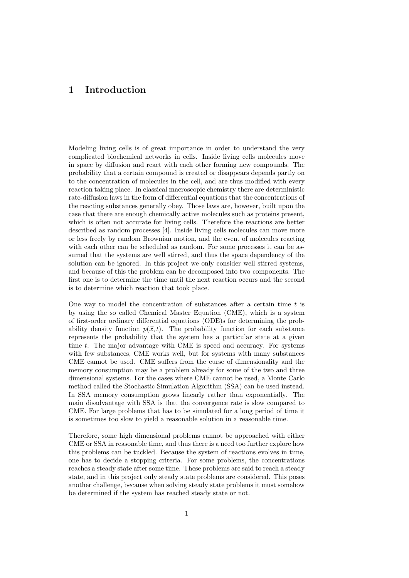# 1 Introduction

Modeling living cells is of great importance in order to understand the very complicated biochemical networks in cells. Inside living cells molecules move in space by diffusion and react with each other forming new compounds. The probability that a certain compound is created or disappears depends partly on to the concentration of molecules in the cell, and are thus modified with every reaction taking place. In classical macroscopic chemistry there are deterministic rate-diffusion laws in the form of differential equations that the concentrations of the reacting substances generally obey. Those laws are, however, built upon the case that there are enough chemically active molecules such as proteins present, which is often not accurate for living cells. Therefore the reactions are better described as random processes [4]. Inside living cells molecules can move more or less freely by random Brownian motion, and the event of molecules reacting with each other can be scheduled as random. For some processes it can be assumed that the systems are well stirred, and thus the space dependency of the solution can be ignored. In this project we only consider well stirred systems, and because of this the problem can be decomposed into two components. The first one is to determine the time until the next reaction occurs and the second is to determine which reaction that took place.

One way to model the concentration of substances after a certain time  $t$  is by using the so called Chemical Master Equation (CME), which is a system of first-order ordinary differential equations (ODE)s for determining the probability density function  $p(\vec{x}, t)$ . The probability function for each substance represents the probability that the system has a particular state at a given time t. The major advantage with CME is speed and accuracy. For systems with few substances, CME works well, but for systems with many substances CME cannot be used. CME suffers from the curse of dimensionality and the memory consumption may be a problem already for some of the two and three dimensional systems. For the cases where CME cannot be used, a Monte Carlo method called the Stochastic Simulation Algorithm (SSA) can be used instead. In SSA memory consumption grows linearly rather than exponentially. The main disadvantage with SSA is that the convergence rate is slow compared to CME. For large problems that has to be simulated for a long period of time it is sometimes too slow to yield a reasonable solution in a reasonable time.

Therefore, some high dimensional problems cannot be approached with either CME or SSA in reasonable time, and thus there is a need too further explore how this problems can be tuckled. Because the system of reactions evolves in time, one has to decide a stopping criteria. For some problems, the concentrations reaches a steady state after some time. These problems are said to reach a steady state, and in this project only steady state problems are considered. This poses another challenge, because when solving steady state problems it must somehow be determined if the system has reached steady state or not.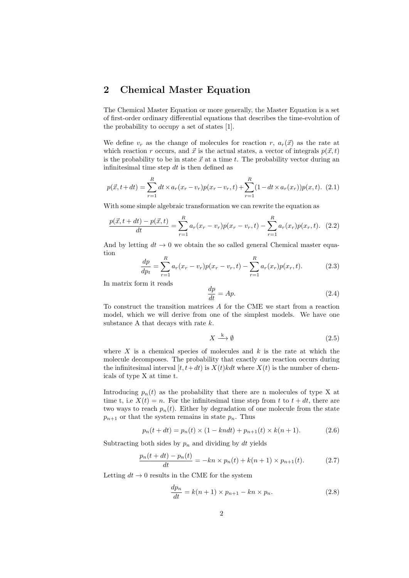# 2 Chemical Master Equation

The Chemical Master Equation or more generally, the Master Equation is a set of first-order ordinary differential equations that describes the time-evolution of the probability to occupy a set of states [1].

We define  $v_r$  as the change of molecules for reaction r,  $a_r(\vec{x})$  as the rate at which reaction r occurs, and  $\vec{x}$  is the actual states, a vector of integrals  $p(\vec{x}, t)$ is the probability to be in state  $\vec{x}$  at a time t. The probability vector during an infinitesimal time step  $dt$  is then defined as

$$
p(\vec{x}, t+dt) = \sum_{r=1}^{R} dt \times a_r(x_r - v_r)p(x_r - v_r, t) + \sum_{r=1}^{R} (1 - dt \times a_r(x_r))p(x, t). \tag{2.1}
$$

With some simple algebraic transformation we can rewrite the equation as

$$
\frac{p(\vec{x}, t+dt) - p(\vec{x}, t)}{dt} = \sum_{r=1}^{R} a_r (x_r - v_r) p(x_r - v_r, t) - \sum_{r=1}^{R} a_r (x_r) p(x_r, t). \tag{2.2}
$$

And by letting  $dt \to 0$  we obtain the so called general Chemical master equation

$$
\frac{dp}{dp_t} = \sum_{r=1}^{R} a_r (x_r - v_r) p(x_r - v_r, t) - \sum_{r=1}^{R} a_r (x_r) p(x_r, t).
$$
 (2.3)

In matrix form it reads

$$
\frac{dp}{dt} = Ap.\t\t(2.4)
$$

To construct the transition matrices A for the CME we start from a reaction model, which we will derive from one of the simplest models. We have one substance A that decays with rate  $k$ .

$$
X \xrightarrow{k} \emptyset \tag{2.5}
$$

where  $X$  is a chemical species of molecules and  $k$  is the rate at which the molecule decomposes. The probability that exactly one reaction occurs during the infinitesimal interval  $[t, t+dt)$  is  $X(t)kdt$  where  $X(t)$  is the number of chemicals of type X at time t.

Introducing  $p_n(t)$  as the probability that there are n molecules of type X at time t, i.e  $X(t) = n$ . For the infinitesimal time step from t to  $t + dt$ , there are two ways to reach  $p_n(t)$ . Either by degradation of one molecule from the state  $p_{n+1}$  or that the system remains in state  $p_n$ . Thus

$$
p_n(t + dt) = p_n(t) \times (1 - kndt) + p_{n+1}(t) \times k(n+1).
$$
 (2.6)

Subtracting both sides by  $p_n$  and dividing by dt yields

$$
\frac{p_n(t+dt) - p_n(t)}{dt} = -kn \times p_n(t) + k(n+1) \times p_{n+1}(t). \tag{2.7}
$$

Letting  $dt \to 0$  results in the CME for the system

$$
\frac{dp_n}{dt} = k(n+1) \times p_{n+1} - kn \times p_n.
$$
\n(2.8)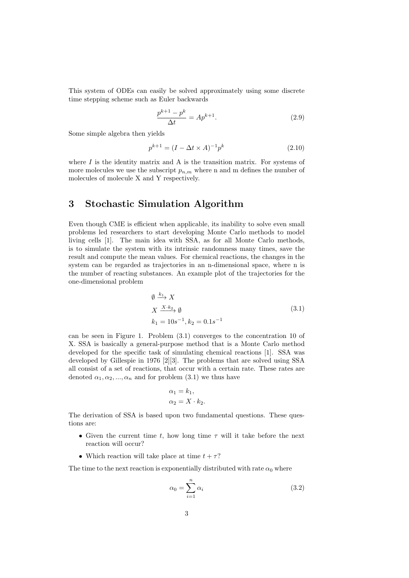This system of ODEs can easily be solved approximately using some discrete time stepping scheme such as Euler backwards

$$
\frac{p^{k+1} - p^k}{\Delta t} = Ap^{k+1}.
$$
\n(2.9)

Some simple algebra then yields

$$
p^{k+1} = (I - \Delta t \times A)^{-1} p^k
$$
 (2.10)

where  $I$  is the identity matrix and  $A$  is the transition matrix. For systems of more molecules we use the subscript  $p_{n,m}$  where n and m defines the number of molecules of molecule X and Y respectively.

## 3 Stochastic Simulation Algorithm

Even though CME is efficient when applicable, its inability to solve even small problems led researchers to start developing Monte Carlo methods to model living cells [1]. The main idea with SSA, as for all Monte Carlo methods, is to simulate the system with its intrinsic randomness many times, save the result and compute the mean values. For chemical reactions, the changes in the system can be regarded as trajectories in an n-dimensional space, where n is the number of reacting substances. An example plot of the trajectories for the one-dimensional problem

$$
\emptyset \xrightarrow{k_1} X
$$
  
\n
$$
X \xrightarrow{X \cdot k_2} \emptyset
$$
  
\n
$$
k_1 = 10s^{-1}, k_2 = 0.1s^{-1}
$$
\n(3.1)

can be seen in Figure 1. Problem (3.1) converges to the concentration 10 of X. SSA is basically a general-purpose method that is a Monte Carlo method developed for the specific task of simulating chemical reactions [1]. SSA was developed by Gillespie in 1976 [2][3]. The problems that are solved using SSA all consist of a set of reactions, that occur with a certain rate. These rates are denoted  $\alpha_1, \alpha_2, ..., \alpha_n$  and for problem (3.1) we thus have

$$
\alpha_1 = k_1,
$$
  

$$
\alpha_2 = X \cdot k_2.
$$

The derivation of SSA is based upon two fundamental questions. These questions are:

- Given the current time t, how long time  $\tau$  will it take before the next reaction will occur?
- Which reaction will take place at time  $t + \tau$ ?

The time to the next reaction is exponentially distributed with rate  $\alpha_0$  where

$$
\alpha_0 = \sum_{i=1}^n \alpha_i \tag{3.2}
$$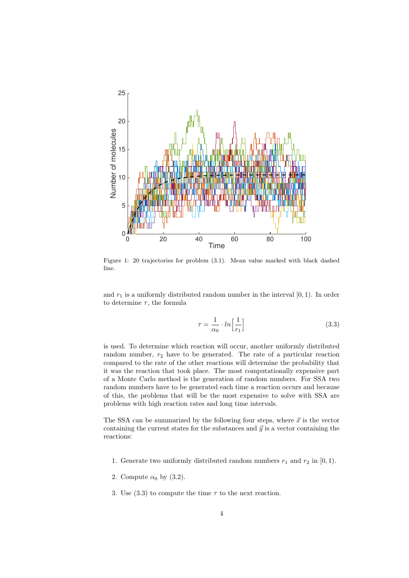

Figure 1: 20 trajectories for problem (3.1). Mean value marked with black dashed line.

and  $r_1$  is a uniformly distributed random number in the interval  $[0, 1)$ . In order to determine  $\tau$ , the formula

$$
\tau = \frac{1}{\alpha_0} \cdot \ln\left[\frac{1}{r_1}\right] \tag{3.3}
$$

is used. To determine which reaction will occur, another uniformly distributed random number,  $r_2$  have to be generated. The rate of a particular reaction compared to the rate of the other reactions will determine the probability that it was the reaction that took place. The most computationally expensive part of a Monte Carlo method is the generation of random numbers. For SSA two random numbers have to be generated each time a reaction occurs and because of this, the problems that will be the most expensive to solve with SSA are problems with high reaction rates and long time intervals.

The SSA can be summarized by the following four steps, where  $\vec{x}$  is the vector containing the current states for the substances and  $\vec{y}$  is a vector containing the reactions:

- 1. Generate two uniformly distributed random numbers  $r_1$  and  $r_2$  in [0, 1).
- 2. Compute  $\alpha_0$  by (3.2).
- 3. Use (3.3) to compute the time  $\tau$  to the next reaction.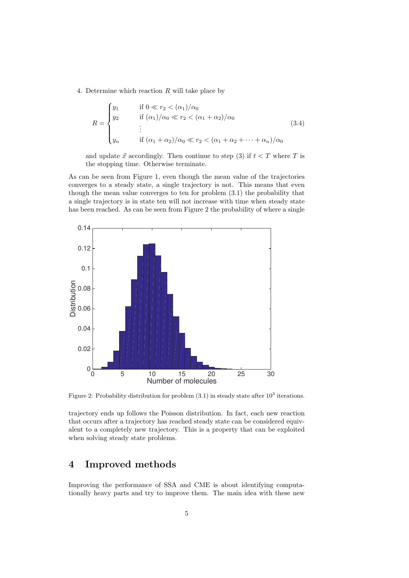4. Determine which reaction R will take place by

$$
R = \begin{cases} y_1 & \text{if } 0 \ll r_2 < (\alpha_1)/\alpha_0 \\ y_2 & \text{if } (\alpha_1)/\alpha_0 \ll r_2 < (\alpha_1 + \alpha_2)/\alpha_0 \\ \vdots & \text{if } (\alpha_1 + \alpha_2)/\alpha_0 \ll r_2 < (\alpha_1 + \alpha_2 + \dots + \alpha_n)/\alpha_0 \end{cases} \tag{3.4}
$$

and update  $\vec{x}$  accordingly. Then continue to step (3) if  $t < T$  where T is the stopping time. Otherwise terminate.

As can be seen from Figure 1, even though the mean value of the trajectories converges to a steady state, a single trajectory is not. This means that even though the mean value converges to ten for problem (3.1) the probability that a single trajectory is in state ten will not increase with time when steady state has been reached. As can be seen from Figure 2 the probability of where a single



Figure 2: Probability distribution for problem  $(3.1)$  in steady state after  $10^3$  iterations.

trajectory ends up follows the Poisson distribution. In fact, each new reaction that occurs after a trajectory has reached steady state can be considered equivalent to a completely new trajectory. This is a property that can be exploited when solving steady state problems.

# 4 Improved methods

Improving the performance of SSA and CME is about identifying computationally heavy parts and try to improve them. The main idea with these new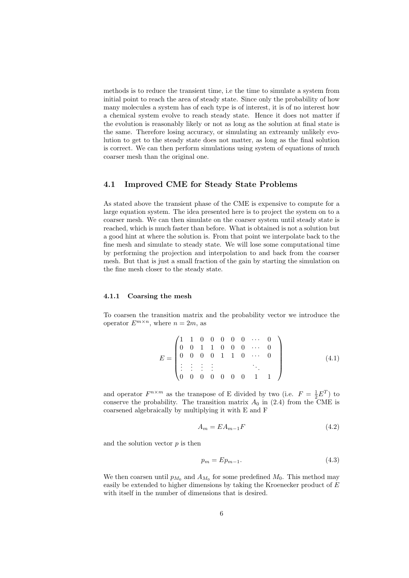methods is to reduce the transient time, i.e the time to simulate a system from initial point to reach the area of steady state. Since only the probability of how many molecules a system has of each type is of interest, it is of no interest how a chemical system evolve to reach steady state. Hence it does not matter if the evolution is reasonably likely or not as long as the solution at final state is the same. Therefore losing accuracy, or simulating an extreamly unlikely evolution to get to the steady state does not matter, as long as the final solution is correct. We can then perform simulations using system of equations of much coarser mesh than the original one.

#### 4.1 Improved CME for Steady State Problems

As stated above the transient phase of the CME is expensive to compute for a large equation system. The idea presented here is to project the system on to a coarser mesh. We can then simulate on the coarser system until steady state is reached, which is much faster than before. What is obtained is not a solution but a good hint at where the solution is. From that point we interpolate back to the fine mesh and simulate to steady state. We will lose some computational time by performing the projection and interpolation to and back from the coarser mesh. But that is just a small fraction of the gain by starting the simulation on the fine mesh closer to the steady state.

#### 4.1.1 Coarsing the mesh

To coarsen the transition matrix and the probability vector we introduce the operator  $E^{m \times n}$ , where  $n = 2m$ , as

$$
E = \begin{pmatrix} 1 & 1 & 0 & 0 & 0 & 0 & 0 & \cdots & 0 \\ 0 & 0 & 1 & 1 & 0 & 0 & 0 & \cdots & 0 \\ 0 & 0 & 0 & 0 & 1 & 1 & 0 & \cdots & 0 \\ \vdots & \vdots & \vdots & \vdots & & & \ddots & \\ 0 & 0 & 0 & 0 & 0 & 0 & 1 & 1 \end{pmatrix}
$$
(4.1)

and operator  $F^{n \times m}$  as the transpose of E divided by two (i.e.  $F = \frac{1}{2}E^{T}$ ) to conserve the probability. The transition matrix  $A_0$  in (2.4) from the CME is coarsened algebraically by multiplying it with E and F

$$
A_m = EA_{m-1}F \tag{4.2}
$$

and the solution vector  $p$  is then

$$
p_m = Ep_{m-1}.\tag{4.3}
$$

We then coarsen until  $p_{M_0}$  and  $A_{M_0}$  for some predefined  $M_0$ . This method may easily be extended to higher dimensions by taking the Kroenecker product of E with itself in the number of dimensions that is desired.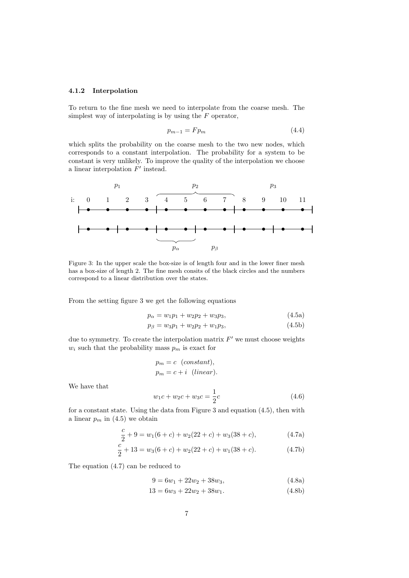#### 4.1.2 Interpolation

To return to the fine mesh we need to interpolate from the coarse mesh. The simplest way of interpolating is by using the  $F$  operator,

$$
p_{m-1} = F p_m \tag{4.4}
$$

which splits the probability on the coarse mesh to the two new nodes, which corresponds to a constant interpolation. The probability for a system to be constant is very unlikely. To improve the quality of the interpolation we choose a linear interpolation  $F'$  instead.



Figure 3: In the upper scale the box-size is of length four and in the lower finer mesh has a box-size of length 2. The fine mesh consits of the black circles and the numbers correspond to a linear distribution over the states.

From the setting figure 3 we get the following equations

$$
p_{\alpha} = w_1 p_1 + w_2 p_2 + w_3 p_3, \tag{4.5a}
$$

$$
p_{\beta} = w_3 p_1 + w_2 p_2 + w_1 p_3, \tag{4.5b}
$$

due to symmetry. To create the interpolation matrix  $F'$  we must choose weights  $w_i$  such that the probability mass  $p_m$  is exact for

$$
p_m = c \quad (constant),
$$
  

$$
p_m = c + i \quad (linear).
$$

We have that

$$
w_1c + w_2c + w_3c = \frac{1}{2}c\tag{4.6}
$$

for a constant state. Using the data from Figure 3 and equation (4.5), then with a linear  $p_m$  in (4.5) we obtain

$$
\frac{c}{2} + 9 = w_1(6 + c) + w_2(22 + c) + w_3(38 + c), \tag{4.7a}
$$

$$
\frac{c}{2} + 13 = w_3(6+c) + w_2(22+c) + w_1(38+c). \tag{4.7b}
$$

The equation (4.7) can be reduced to

$$
9 = 6w_1 + 22w_2 + 38w_3, \tag{4.8a}
$$

$$
13 = 6w_3 + 22w_2 + 38w_1.
$$
\n
$$
(4.8b)
$$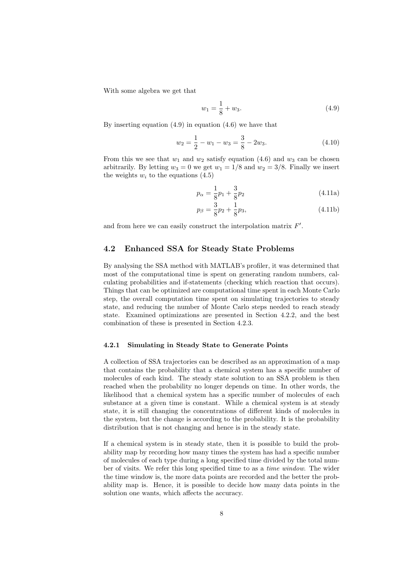With some algebra we get that

$$
w_1 = \frac{1}{8} + w_3. \tag{4.9}
$$

By inserting equation  $(4.9)$  in equation  $(4.6)$  we have that

$$
w_2 = \frac{1}{2} - w_1 - w_3 = \frac{3}{8} - 2w_3.
$$
 (4.10)

From this we see that  $w_1$  and  $w_2$  satisfy equation (4.6) and  $w_3$  can be chosen arbitrarily. By letting  $w_3 = 0$  we get  $w_1 = 1/8$  and  $w_2 = 3/8$ . Finally we insert the weights  $w_i$  to the equations  $(4.5)$ 

$$
p_{\alpha} = \frac{1}{8}p_1 + \frac{3}{8}p_2 \tag{4.11a}
$$

$$
p_{\beta} = \frac{3}{8}p_2 + \frac{1}{8}p_3,\tag{4.11b}
$$

and from here we can easily construct the interpolation matrix  $F'$ .

#### 4.2 Enhanced SSA for Steady State Problems

By analysing the SSA method with MATLAB's profiler, it was determined that most of the computational time is spent on generating random numbers, calculating probabilities and if-statements (checking which reaction that occurs). Things that can be optimized are computational time spent in each Monte Carlo step, the overall computation time spent on simulating trajectories to steady state, and reducing the number of Monte Carlo steps needed to reach steady state. Examined optimizations are presented in Section 4.2.2, and the best combination of these is presented in Section 4.2.3.

#### 4.2.1 Simulating in Steady State to Generate Points

A collection of SSA trajectories can be described as an approximation of a map that contains the probability that a chemical system has a specific number of molecules of each kind. The steady state solution to an SSA problem is then reached when the probability no longer depends on time. In other words, the likelihood that a chemical system has a specific number of molecules of each substance at a given time is constant. While a chemical system is at steady state, it is still changing the concentrations of different kinds of molecules in the system, but the change is according to the probability. It is the probability distribution that is not changing and hence is in the steady state.

If a chemical system is in steady state, then it is possible to build the probability map by recording how many times the system has had a specific number of molecules of each type during a long specified time divided by the total number of visits. We refer this long specified time to as a time window. The wider the time window is, the more data points are recorded and the better the probability map is. Hence, it is possible to decide how many data points in the solution one wants, which affects the accuracy.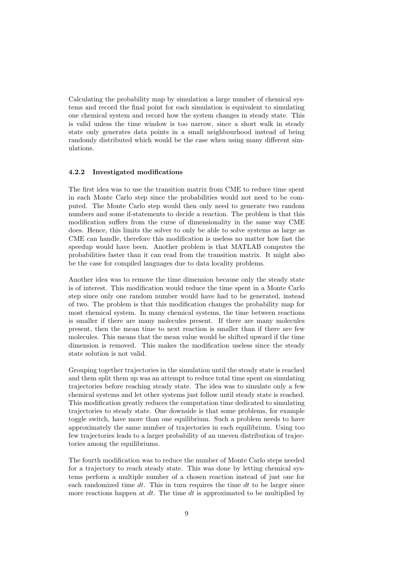Calculating the probability map by simulation a large number of chemical systems and record the final point for each simulation is equivalent to simulating one chemical system and record how the system changes in steady state. This is valid unless the time window is too narrow, since a short walk in steady state only generates data points in a small neighbourhood instead of being randomly distributed which would be the case when using many different simulations.

#### 4.2.2 Investigated modifications

The first idea was to use the transition matrix from CME to reduce time spent in each Monte Carlo step since the probabilities would not need to be computed. The Monte Carlo step would then only need to generate two random numbers and some if-statements to decide a reaction. The problem is that this modification suffers from the curse of dimensionality in the same way CME does. Hence, this limits the solver to only be able to solve systems as large as CME can handle, therefore this modification is useless no matter how fast the speedup would have been. Another problem is that MATLAB computes the probabilities faster than it can read from the transition matrix. It might also be the case for compiled languages due to data locality problems.

Another idea was to remove the time dimension because only the steady state is of interest. This modification would reduce the time spent in a Monte Carlo step since only one random number would have had to be generated, instead of two. The problem is that this modification changes the probability map for most chemical system. In many chemical systems, the time between reactions is smaller if there are many molecules present. If there are many molecules present, then the mean time to next reaction is smaller than if there are few molecules. This means that the mean value would be shifted upward if the time dimension is removed. This makes the modification useless since the steady state solution is not valid.

Grouping together trajectories in the simulation until the steady state is reached and them split them up was an attempt to reduce total time spent on simulating trajectories before reaching steady state. The idea was to simulate only a few chemical systems and let other systems just follow until steady state is reached. This modification greatly reduces the computation time dedicated to simulating trajectories to steady state. One downside is that some problems, for example toggle switch, have more than one equilibrium. Such a problem needs to have approximately the same number of trajectories in each equilibrium. Using too few trajectories leads to a larger probability of an uneven distribution of trajectories among the equilibriums.

The fourth modification was to reduce the number of Monte Carlo steps needed for a trajectory to reach steady state. This was done by letting chemical systems perform a multiple number of a chosen reaction instead of just one for each randomized time  $dt$ . This in turn requires the time  $dt$  to be larger since more reactions happen at  $dt$ . The time  $dt$  is approximated to be multiplied by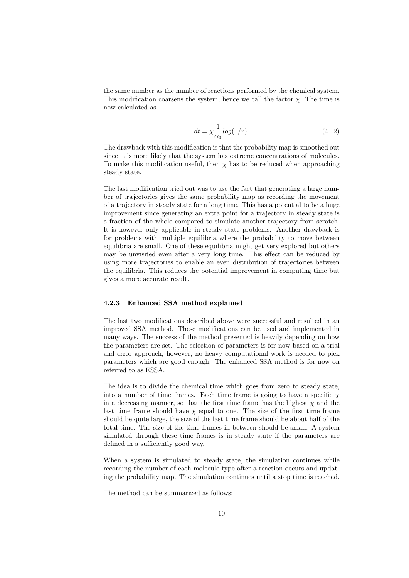the same number as the number of reactions performed by the chemical system. This modification coarsens the system, hence we call the factor  $\chi$ . The time is now calculated as

$$
dt = \chi \frac{1}{\alpha_0} \log(1/r). \tag{4.12}
$$

The drawback with this modification is that the probability map is smoothed out since it is more likely that the system has extreme concentrations of molecules. To make this modification useful, then  $\chi$  has to be reduced when approaching steady state.

The last modification tried out was to use the fact that generating a large number of trajectories gives the same probability map as recording the movement of a trajectory in steady state for a long time. This has a potential to be a huge improvement since generating an extra point for a trajectory in steady state is a fraction of the whole compared to simulate another trajectory from scratch. It is however only applicable in steady state problems. Another drawback is for problems with multiple equilibria where the probability to move between equilibria are small. One of these equilibria might get very explored but others may be unvisited even after a very long time. This effect can be reduced by using more trajectories to enable an even distribution of trajectories between the equilibria. This reduces the potential improvement in computing time but gives a more accurate result.

#### 4.2.3 Enhanced SSA method explained

The last two modifications described above were successful and resulted in an improved SSA method. These modifications can be used and implemented in many ways. The success of the method presented is heavily depending on how the parameters are set. The selection of parameters is for now based on a trial and error approach, however, no heavy computational work is needed to pick parameters which are good enough. The enhanced SSA method is for now on referred to as ESSA.

The idea is to divide the chemical time which goes from zero to steady state, into a number of time frames. Each time frame is going to have a specific  $\chi$ in a decreasing manner, so that the first time frame has the highest  $\chi$  and the last time frame should have  $\chi$  equal to one. The size of the first time frame should be quite large, the size of the last time frame should be about half of the total time. The size of the time frames in between should be small. A system simulated through these time frames is in steady state if the parameters are defined in a sufficiently good way.

When a system is simulated to steady state, the simulation continues while recording the number of each molecule type after a reaction occurs and updating the probability map. The simulation continues until a stop time is reached.

The method can be summarized as follows: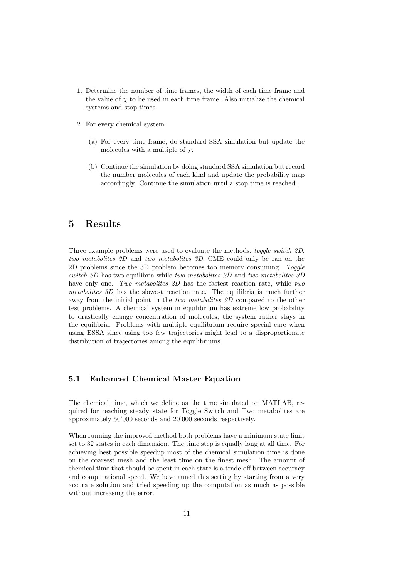- 1. Determine the number of time frames, the width of each time frame and the value of  $\chi$  to be used in each time frame. Also initialize the chemical systems and stop times.
- 2. For every chemical system
	- (a) For every time frame, do standard SSA simulation but update the molecules with a multiple of  $\chi$ .
	- (b) Continue the simulation by doing standard SSA simulation but record the number molecules of each kind and update the probability map accordingly. Continue the simulation until a stop time is reached.

# 5 Results

Three example problems were used to evaluate the methods, toggle switch 2D, two metabolites 2D and two metabolites 3D. CME could only be ran on the 2D problems since the 3D problem becomes too memory consuming. Toggle switch 2D has two equilibria while two metabolites 2D and two metabolites 3D have only one. Two metabolites 2D has the fastest reaction rate, while two metabolites 3D has the slowest reaction rate. The equilibria is much further away from the initial point in the two metabolites 2D compared to the other test problems. A chemical system in equilibrium has extreme low probability to drastically change concentration of molecules, the system rather stays in the equilibria. Problems with multiple equilibrium require special care when using ESSA since using too few trajectories might lead to a disproportionate distribution of trajectories among the equilibriums.

#### 5.1 Enhanced Chemical Master Equation

The chemical time, which we define as the time simulated on MATLAB, required for reaching steady state for Toggle Switch and Two metabolites are approximately 50'000 seconds and 20'000 seconds respectively.

When running the improved method both problems have a minimum state limit set to 32 states in each dimension. The time step is equally long at all time. For achieving best possible speedup most of the chemical simulation time is done on the coarsest mesh and the least time on the finest mesh. The amount of chemical time that should be spent in each state is a trade-off between accuracy and computational speed. We have tuned this setting by starting from a very accurate solution and tried speeding up the computation as much as possible without increasing the error.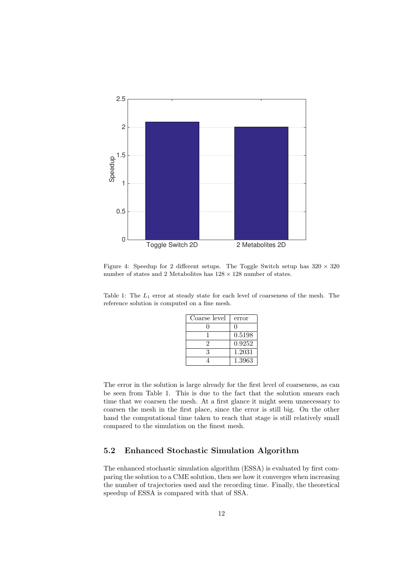

Figure 4: Speedup for 2 different setups. The Toggle Switch setup has  $320 \times 320$ number of states and 2 Metabolites has  $128 \times 128$  number of states.

Table 1: The  $L_1$  error at steady state for each level of coarseness of the mesh. The reference solution is computed on a fine mesh.

| Coarse level | error        |
|--------------|--------------|
|              | $\mathbf{I}$ |
|              | 0.5198       |
| 2            | 0.9252       |
| 3            | 1.2031       |
|              | 1.3963       |

The error in the solution is large already for the first level of coarseness, as can be seen from Table 1. This is due to the fact that the solution smears each time that we coarsen the mesh. At a first glance it might seem unnecessary to coarsen the mesh in the first place, since the error is still big. On the other hand the computational time taken to reach that stage is still relatively small compared to the simulation on the finest mesh.

### 5.2 Enhanced Stochastic Simulation Algorithm

The enhanced stochastic simulation algorithm (ESSA) is evaluated by first comparing the solution to a CME solution, then see how it converges when increasing the number of trajectories used and the recording time. Finally, the theoretical speedup of ESSA is compared with that of SSA.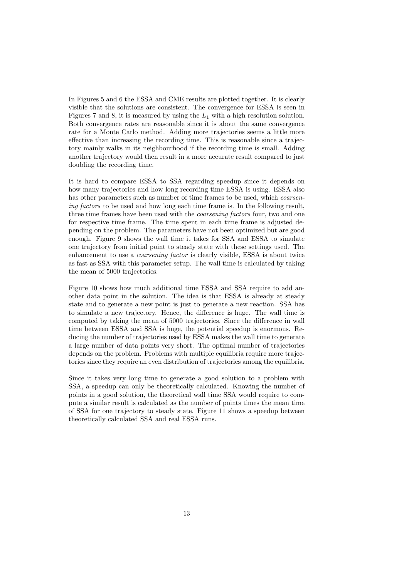In Figures 5 and 6 the ESSA and CME results are plotted together. It is clearly visible that the solutions are consistent. The convergence for ESSA is seen in Figures 7 and 8, it is measured by using the  $L_1$  with a high resolution solution. Both convergence rates are reasonable since it is about the same convergence rate for a Monte Carlo method. Adding more trajectories seems a little more effective than increasing the recording time. This is reasonable since a trajectory mainly walks in its neighbourhood if the recording time is small. Adding another trajectory would then result in a more accurate result compared to just doubling the recording time.

It is hard to compare ESSA to SSA regarding speedup since it depends on how many trajectories and how long recording time ESSA is using. ESSA also has other parameters such as number of time frames to be used, which *coarsen*ing factors to be used and how long each time frame is. In the following result, three time frames have been used with the coarsening factors four, two and one for respective time frame. The time spent in each time frame is adjusted depending on the problem. The parameters have not been optimized but are good enough. Figure 9 shows the wall time it takes for SSA and ESSA to simulate one trajectory from initial point to steady state with these settings used. The enhancement to use a coarsening factor is clearly visible, ESSA is about twice as fast as SSA with this parameter setup. The wall time is calculated by taking the mean of 5000 trajectories.

Figure 10 shows how much additional time ESSA and SSA require to add another data point in the solution. The idea is that ESSA is already at steady state and to generate a new point is just to generate a new reaction. SSA has to simulate a new trajectory. Hence, the difference is huge. The wall time is computed by taking the mean of 5000 trajectories. Since the difference in wall time between ESSA and SSA is huge, the potential speedup is enormous. Reducing the number of trajectories used by ESSA makes the wall time to generate a large number of data points very short. The optimal number of trajectories depends on the problem. Problems with multiple equilibria require more trajectories since they require an even distribution of trajectories among the equilibria.

Since it takes very long time to generate a good solution to a problem with SSA, a speedup can only be theoretically calculated. Knowing the number of points in a good solution, the theoretical wall time SSA would require to compute a similar result is calculated as the number of points times the mean time of SSA for one trajectory to steady state. Figure 11 shows a speedup between theoretically calculated SSA and real ESSA runs.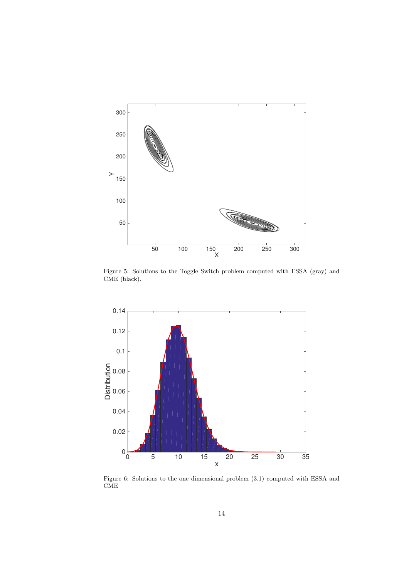

Figure 5: Solutions to the Toggle Switch problem computed with ESSA (gray) and CME (black).



Figure 6: Solutions to the one dimensional problem (3.1) computed with ESSA and CME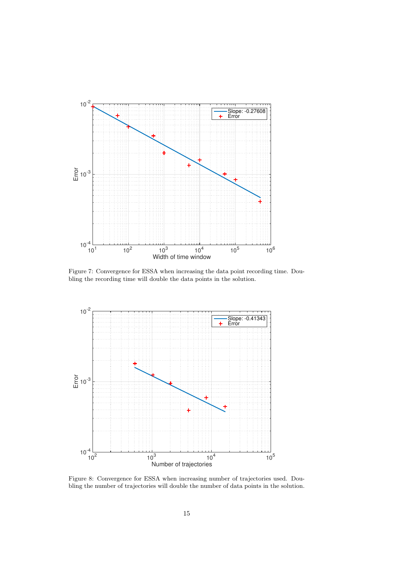

Figure 7: Convergence for ESSA when increasing the data point recording time. Doubling the recording time will double the data points in the solution.



Figure 8: Convergence for ESSA when increasing number of trajectories used. Doubling the number of trajectories will double the number of data points in the solution.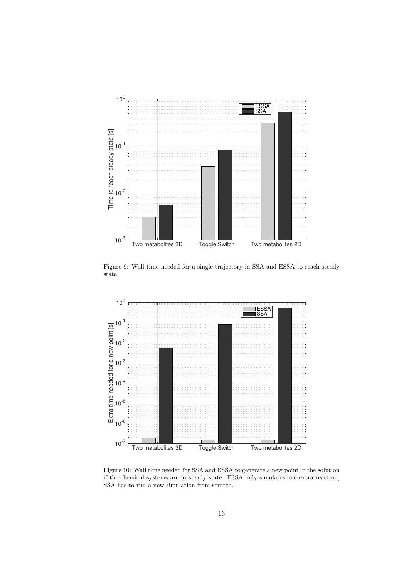

Figure 9: Wall time needed for a single trajectory in SSA and ESSA to reach steady state.



Figure 10: Wall time needed for SSA and ESSA to generate a new point in the solution if the chemical systems are in steady state. ESSA only simulates one extra reaction, SSA has to run a new simulation from scratch.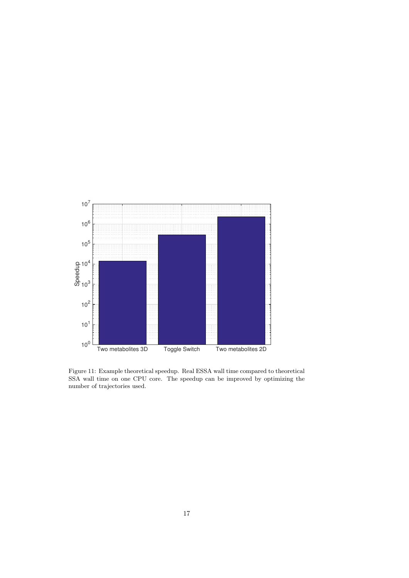

Figure 11: Example theoretical speedup. Real ESSA wall time compared to theoretical SSA wall time on one CPU core. The speedup can be improved by optimizing the number of trajectories used.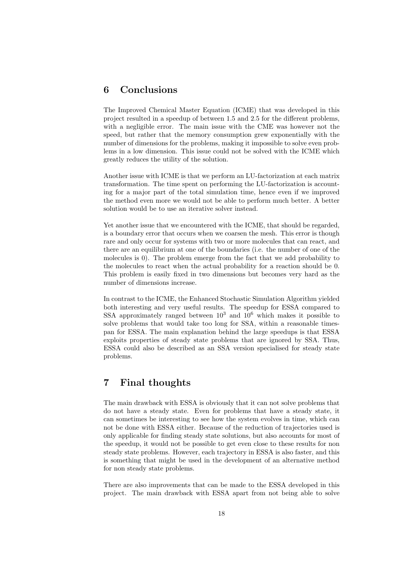# 6 Conclusions

The Improved Chemical Master Equation (ICME) that was developed in this project resulted in a speedup of between 1.5 and 2.5 for the different problems, with a negligible error. The main issue with the CME was however not the speed, but rather that the memory consumption grew exponentially with the number of dimensions for the problems, making it impossible to solve even problems in a low dimension. This issue could not be solved with the ICME which greatly reduces the utility of the solution.

Another issue with ICME is that we perform an LU-factorization at each matrix transformation. The time spent on performing the LU-factorization is accounting for a major part of the total simulation time, hence even if we improved the method even more we would not be able to perform much better. A better solution would be to use an iterative solver instead.

Yet another issue that we encountered with the ICME, that should be regarded, is a boundary error that occurs when we coarsen the mesh. This error is though rare and only occur for systems with two or more molecules that can react, and there are an equilibrium at one of the boundaries (i.e. the number of one of the molecules is 0). The problem emerge from the fact that we add probability to the molecules to react when the actual probability for a reaction should be 0. This problem is easily fixed in two dimensions but becomes very hard as the number of dimensions increase.

In contrast to the ICME, the Enhanced Stochastic Simulation Algorithm yielded both interesting and very useful results. The speedup for ESSA compared to SSA approximately ranged between  $10^3$  and  $10^6$  which makes it possible to solve problems that would take too long for SSA, within a reasonable timespan for ESSA. The main explanation behind the large speedups is that ESSA exploits properties of steady state problems that are ignored by SSA. Thus, ESSA could also be described as an SSA version specialised for steady state problems.

# 7 Final thoughts

The main drawback with ESSA is obviously that it can not solve problems that do not have a steady state. Even for problems that have a steady state, it can sometimes be interesting to see how the system evolves in time, which can not be done with ESSA either. Because of the reduction of trajectories used is only applicable for finding steady state solutions, but also accounts for most of the speedup, it would not be possible to get even close to these results for non steady state problems. However, each trajectory in ESSA is also faster, and this is something that might be used in the development of an alternative method for non steady state problems.

There are also improvements that can be made to the ESSA developed in this project. The main drawback with ESSA apart from not being able to solve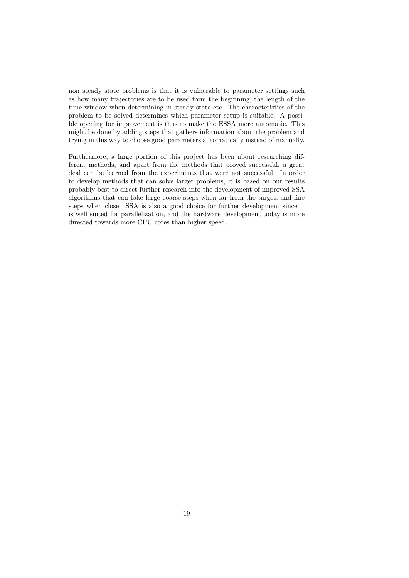non steady state problems is that it is vulnerable to parameter settings such as how many trajectories are to be used from the beginning, the length of the time window when determining in steady state etc. The characteristics of the problem to be solved determines which parameter setup is suitable. A possible opening for improvement is thus to make the ESSA more automatic. This might be done by adding steps that gathers information about the problem and trying in this way to choose good parameters automatically instead of manually.

Furthermore, a large portion of this project has been about researching different methods, and apart from the methods that proved successful, a great deal can be learned from the experiments that were not successful. In order to develop methods that can solve larger problems, it is based on our results probably best to direct further research into the development of improved SSA algorithms that can take large coarse steps when far from the target, and fine steps when close. SSA is also a good choice for further development since it is well suited for parallelization, and the hardware development today is more directed towards more CPU cores than higher speed.